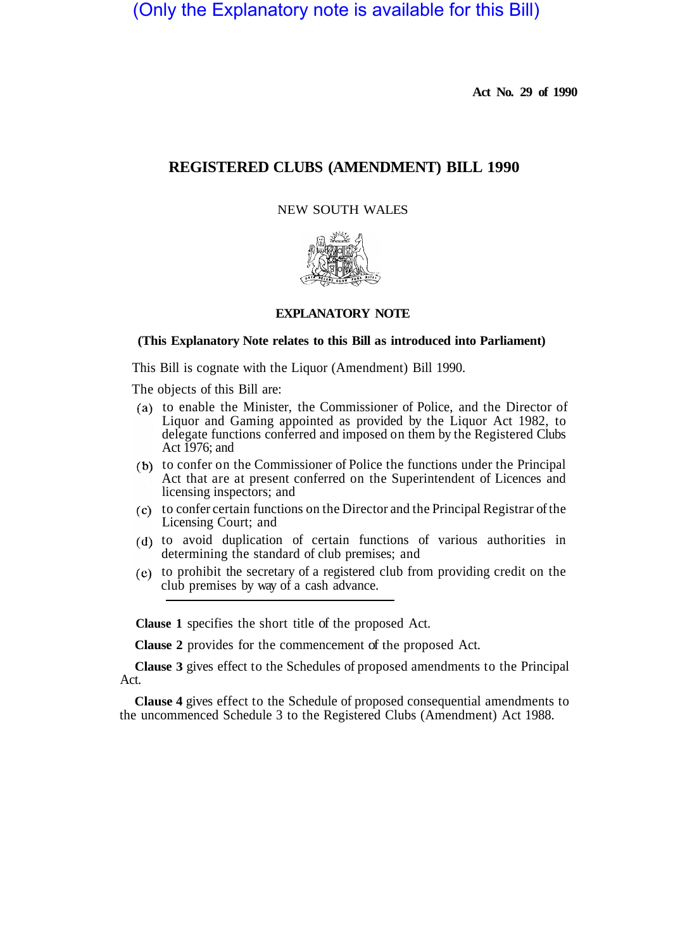(Only the Explanatory note is available for this Bill)

**Act No. 29 of 1990** 

# **REGISTERED CLUBS (AMENDMENT) BILL 1990**

NEW SOUTH WALES



## **EXPLANATORY NOTE**

#### **(This Explanatory Note relates to this Bill as introduced into Parliament)**

This Bill is cognate with the Liquor (Amendment) Bill 1990.

The objects of this Bill are:

- to enable the Minister, the Commissioner of Police, and the Director of Liquor and Gaming appointed as provided by the Liquor Act 1982, to delegate functions conferred and imposed on them by the Registered Clubs Act 1976; and
- (b) to confer on the Commissioner of Police the functions under the Principal Act that are at present conferred on the Superintendent of Licences and licensing inspectors; and
- to confer certain functions on the Director and the Principal Registrar of the Licensing Court; and
- to avoid duplication of certain functions of various authorities in determining the standard of club premises; and
- to prohibit the secretary of a registered club from providing credit on the club premises by way of a cash advance.

**Clause 1** specifies the short title of the proposed Act.

**Clause 2** provides for the commencement of the proposed Act.

**Clause 3** gives effect to the Schedules of proposed amendments to the Principal Act.

**Clause 4** gives effect to the Schedule of proposed consequential amendments to the uncommenced Schedule 3 to the Registered Clubs (Amendment) Act 1988.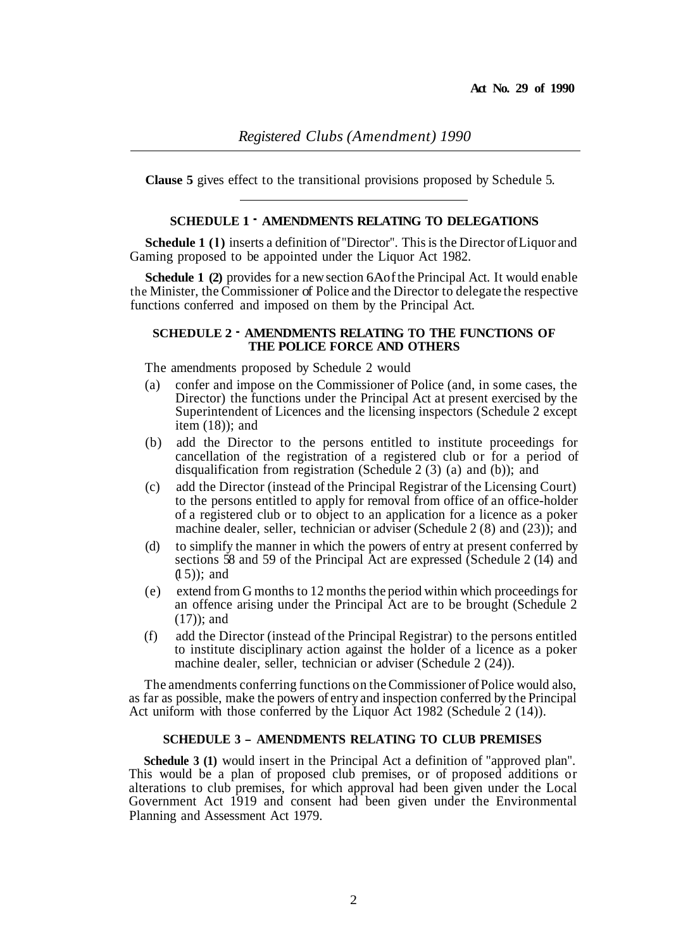**Clause 5** gives effect to the transitional provisions proposed by Schedule 5.

## **SCHEDULE 1** - **AMENDMENTS RELATING TO DELEGATIONS**

**Schedule 1 (1)** inserts a definition of "Director". This is the Director of Liquor and Gaming proposed to be appointed under the Liquor Act 1982.

**Schedule 1 (2)** provides for a new section 6A of the Principal Act. It would enable the Minister, the Commissioner of Police and the Director to delegate the respective functions conferred and imposed on them by the Principal Act.

## **SCHEDULE 2** - **AMENDMENTS RELATING TO THE FUNCTIONS OF THE POLICE FORCE AND OTHERS**

The amendments proposed by Schedule 2 would

- (a) confer and impose on the Commissioner of Police (and, in some cases, the Director) the functions under the Principal Act at present exercised by the Superintendent of Licences and the licensing inspectors (Schedule 2 except item  $(18)$ ; and
- (b) add the Director to the persons entitled to institute proceedings for cancellation of the registration of a registered club or for a period of disqualification from registration (Schedule 2 (3) (a) and (b)); and
- (c) add the Director (instead of the Principal Registrar of the Licensing Court) to the persons entitled to apply for removal from office of an office-holder of a registered club or to object to an application for a licence as a poker machine dealer, seller, technician or adviser (Schedule 2 (8) and (23)); and
- (d) to simplify the manner in which the powers of entry at present conferred by sections 58 and 59 of the Principal Act are expressed (Schedule 2 (14) and  $(1 5)$ : and
- (e) extend from G months to 12 months the period within which proceedings for an offence arising under the Principal Act are to be brought (Schedule 2 (17)); and
- (f) add the Director (instead of the Principal Registrar) to the persons entitled to institute disciplinary action against the holder of a licence as a poker machine dealer, seller, technician or adviser (Schedule 2 (24)).

The amendments conferring functions on the Commissioner of Police would also, as far as possible, make the powers of entry and inspection conferred by the Principal Act uniform with those conferred by the Liquor Act 1982 (Schedule 2 (14)).

## **SCHEDULE 3 - AMENDMENTS RELATING TO CLUB PREMISES**

**Schedule 3 (1)** would insert in the Principal Act a definition of "approved plan". This would be a plan of proposed club premises, or of proposed additions or alterations to club premises, for which approval had been given under the Local Government Act 1919 and consent had been given under the Environmental Planning and Assessment Act 1979.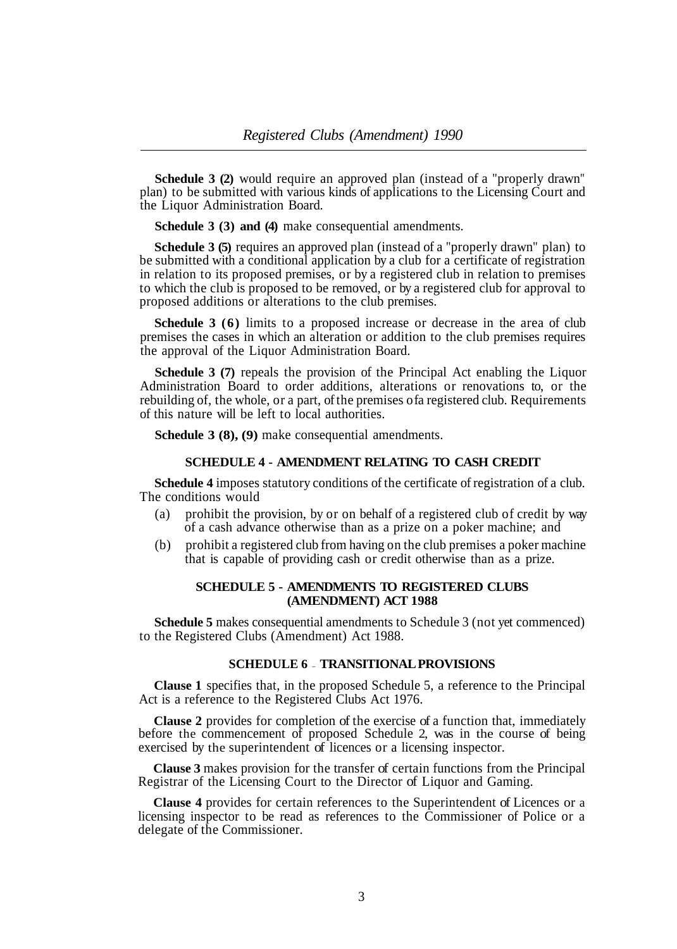**Schedule 3 (2)** would require an approved plan (instead of a "properly drawn" plan) to be submitted with various kinds of applications to the Licensing Court and the Liquor Administration Board.

**Schedule 3 (3) and (4)** make consequential amendments.

**Schedule 3 (5)** requires an approved plan (instead of a "properly drawn" plan) to be submitted with a conditional application by a club for a certificate of registration in relation to its proposed premises, or by a registered club in relation to premises to which the club is proposed to be removed, or by a registered club for approval to proposed additions or alterations to the club premises.

**Schedule 3 (6)** limits to a proposed increase or decrease in the area of club premises the cases in which an alteration or addition to the club premises requires the approval of the Liquor Administration Board.

**Schedule 3 (7)** repeals the provision of the Principal Act enabling the Liquor Administration Board to order additions, alterations or renovations to, or the rebuilding of, the whole, or a part, of the premises of a registered club. Requirements of this nature will be left to local authorities.

**Schedule 3 (8), (9)** make consequential amendments.

#### **SCHEDULE 4 - AMENDMENT RELATING TO CASH CREDIT**

**Schedule 4** imposes statutory conditions of the certificate of registration of a club. The conditions would

- (a) prohibit the provision, by or on behalf of a registered club of credit by way of a cash advance otherwise than as a prize on a poker machine; and
- (b) prohibit a registered club from having on the club premises a poker machine that is capable of providing cash or credit otherwise than as a prize.

#### **SCHEDULE 5 - AMENDMENTS TO REGISTERED CLUBS (AMENDMENT) ACT 1988**

**Schedule 5** makes consequential amendments to Schedule 3 (not yet commenced) to the Registered Clubs (Amendment) Act 1988.

### **SCHEDULE 6** - **TRANSITIONAL PROVISIONS**

**Clause 1** specifies that, in the proposed Schedule 5, a reference to the Principal Act is a reference to the Registered Clubs Act 1976.

**Clause 2** provides for completion of the exercise of a function that, immediately before the commencement of proposed Schedule 2, was in the course of being exercised by the superintendent of licences or a licensing inspector.

**Clause 3** makes provision for the transfer of certain functions from the Principal Registrar of the Licensing Court to the Director of Liquor and Gaming.

**Clause 4** provides for certain references to the Superintendent of Licences or a licensing inspector to be read as references to the Commissioner of Police or a delegate of the Commissioner.